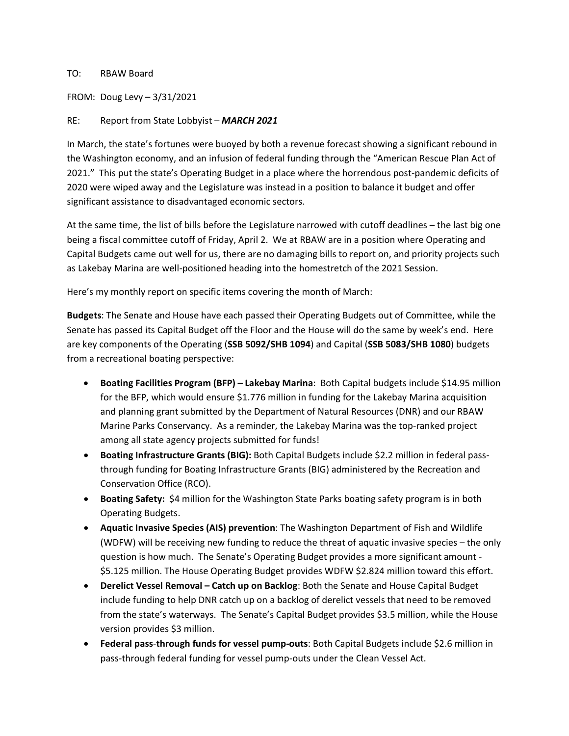## TO: RBAW Board

FROM: Doug Levy – 3/31/2021

## RE: Report from State Lobbyist – *MARCH 2021*

In March, the state's fortunes were buoyed by both a revenue forecast showing a significant rebound in the Washington economy, and an infusion of federal funding through the "American Rescue Plan Act of 2021." This put the state's Operating Budget in a place where the horrendous post-pandemic deficits of 2020 were wiped away and the Legislature was instead in a position to balance it budget and offer significant assistance to disadvantaged economic sectors.

At the same time, the list of bills before the Legislature narrowed with cutoff deadlines – the last big one being a fiscal committee cutoff of Friday, April 2. We at RBAW are in a position where Operating and Capital Budgets came out well for us, there are no damaging bills to report on, and priority projects such as Lakebay Marina are well-positioned heading into the homestretch of the 2021 Session.

Here's my monthly report on specific items covering the month of March:

**Budgets**: The Senate and House have each passed their Operating Budgets out of Committee, while the Senate has passed its Capital Budget off the Floor and the House will do the same by week's end. Here are key components of the Operating (**SSB 5092/SHB 1094**) and Capital (**SSB 5083/SHB 1080**) budgets from a recreational boating perspective:

- **Boating Facilities Program (BFP) – Lakebay Marina**: Both Capital budgets include \$14.95 million for the BFP, which would ensure \$1.776 million in funding for the Lakebay Marina acquisition and planning grant submitted by the Department of Natural Resources (DNR) and our RBAW Marine Parks Conservancy. As a reminder, the Lakebay Marina was the top-ranked project among all state agency projects submitted for funds!
- **Boating Infrastructure Grants (BIG):** Both Capital Budgets include \$2.2 million in federal passthrough funding for Boating Infrastructure Grants (BIG) administered by the Recreation and Conservation Office (RCO).
- **Boating Safety:** \$4 million for the Washington State Parks boating safety program is in both Operating Budgets.
- **Aquatic Invasive Species (AIS) prevention**: The Washington Department of Fish and Wildlife (WDFW) will be receiving new funding to reduce the threat of aquatic invasive species – the only question is how much. The Senate's Operating Budget provides a more significant amount - \$5.125 million. The House Operating Budget provides WDFW \$2.824 million toward this effort.
- **Derelict Vessel Removal – Catch up on Backlog**: Both the Senate and House Capital Budget include funding to help DNR catch up on a backlog of derelict vessels that need to be removed from the state's waterways. The Senate's Capital Budget provides \$3.5 million, while the House version provides \$3 million.
- **Federal pass**-**through funds for vessel pump-outs**: Both Capital Budgets include \$2.6 million in pass-through federal funding for vessel pump-outs under the Clean Vessel Act.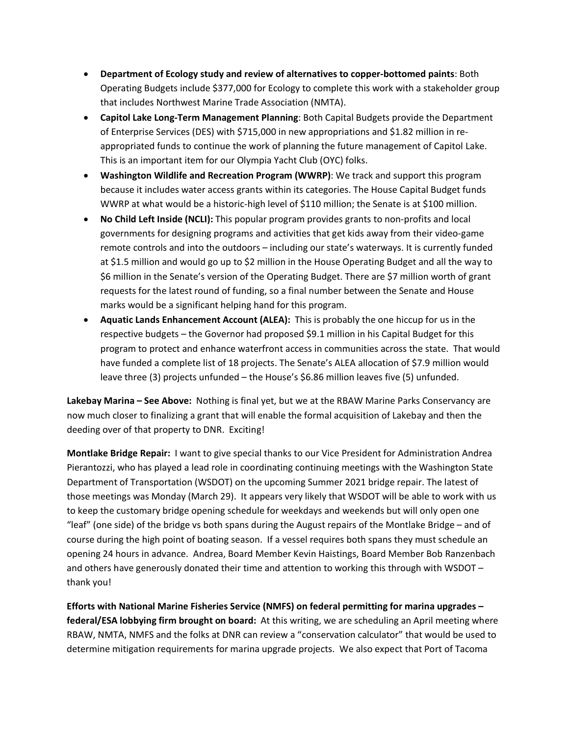- **Department of Ecology study and review of alternatives to copper-bottomed paints**: Both Operating Budgets include \$377,000 for Ecology to complete this work with a stakeholder group that includes Northwest Marine Trade Association (NMTA).
- **Capitol Lake Long-Term Management Planning**: Both Capital Budgets provide the Department of Enterprise Services (DES) with \$715,000 in new appropriations and \$1.82 million in reappropriated funds to continue the work of planning the future management of Capitol Lake. This is an important item for our Olympia Yacht Club (OYC) folks.
- **Washington Wildlife and Recreation Program (WWRP)**: We track and support this program because it includes water access grants within its categories. The House Capital Budget funds WWRP at what would be a historic-high level of \$110 million; the Senate is at \$100 million.
- **No Child Left Inside (NCLI):** This popular program provides grants to non-profits and local governments for designing programs and activities that get kids away from their video-game remote controls and into the outdoors – including our state's waterways. It is currently funded at \$1.5 million and would go up to \$2 million in the House Operating Budget and all the way to \$6 million in the Senate's version of the Operating Budget. There are \$7 million worth of grant requests for the latest round of funding, so a final number between the Senate and House marks would be a significant helping hand for this program.
- **Aquatic Lands Enhancement Account (ALEA):** This is probably the one hiccup for us in the respective budgets – the Governor had proposed \$9.1 million in his Capital Budget for this program to protect and enhance waterfront access in communities across the state. That would have funded a complete list of 18 projects. The Senate's ALEA allocation of \$7.9 million would leave three (3) projects unfunded – the House's \$6.86 million leaves five (5) unfunded.

**Lakebay Marina – See Above:** Nothing is final yet, but we at the RBAW Marine Parks Conservancy are now much closer to finalizing a grant that will enable the formal acquisition of Lakebay and then the deeding over of that property to DNR. Exciting!

**Montlake Bridge Repair:** I want to give special thanks to our Vice President for Administration Andrea Pierantozzi, who has played a lead role in coordinating continuing meetings with the Washington State Department of Transportation (WSDOT) on the upcoming Summer 2021 bridge repair. The latest of those meetings was Monday (March 29). It appears very likely that WSDOT will be able to work with us to keep the customary bridge opening schedule for weekdays and weekends but will only open one "leaf" (one side) of the bridge vs both spans during the August repairs of the Montlake Bridge – and of course during the high point of boating season. If a vessel requires both spans they must schedule an opening 24 hours in advance. Andrea, Board Member Kevin Haistings, Board Member Bob Ranzenbach and others have generously donated their time and attention to working this through with WSDOT – thank you!

**Efforts with National Marine Fisheries Service (NMFS) on federal permitting for marina upgrades – federal/ESA lobbying firm brought on board:** At this writing, we are scheduling an April meeting where RBAW, NMTA, NMFS and the folks at DNR can review a "conservation calculator" that would be used to determine mitigation requirements for marina upgrade projects. We also expect that Port of Tacoma